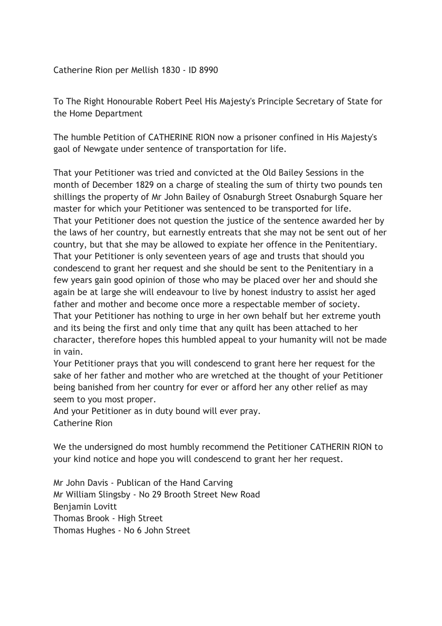Catherine Rion per Mellish 1830 - ID 8990

To The Right Honourable Robert Peel His Majesty's Principle Secretary of State for the Home Department

The humble Petition of CATHERINE RION now a prisoner confined in His Majesty's gaol of Newgate under sentence of transportation for life.

That your Petitioner was tried and convicted at the Old Bailey Sessions in the month of December 1829 on a charge of stealing the sum of thirty two pounds ten shillings the property of Mr John Bailey of Osnaburgh Street Osnaburgh Square her master for which your Petitioner was sentenced to be transported for life. That your Petitioner does not question the justice of the sentence awarded her by the laws of her country, but earnestly entreats that she may not be sent out of her country, but that she may be allowed to expiate her offence in the Penitentiary. That your Petitioner is only seventeen years of age and trusts that should you condescend to grant her request and she should be sent to the Penitentiary in a few years gain good opinion of those who may be placed over her and should she again be at large she will endeavour to live by honest industry to assist her aged father and mother and become once more a respectable member of society. That your Petitioner has nothing to urge in her own behalf but her extreme youth and its being the first and only time that any quilt has been attached to her character, therefore hopes this humbled appeal to your humanity will not be made in vain.

Your Petitioner prays that you will condescend to grant here her request for the sake of her father and mother who are wretched at the thought of your Petitioner being banished from her country for ever or afford her any other relief as may seem to you most proper.

And your Petitioner as in duty bound will ever pray. Catherine Rion

We the undersigned do most humbly recommend the Petitioner CATHERIN RION to your kind notice and hope you will condescend to grant her her request.

Mr John Davis - Publican of the Hand Carving Mr William Slingsby - No 29 Brooth Street New Road Benjamin Lovitt Thomas Brook - High Street Thomas Hughes - No 6 John Street